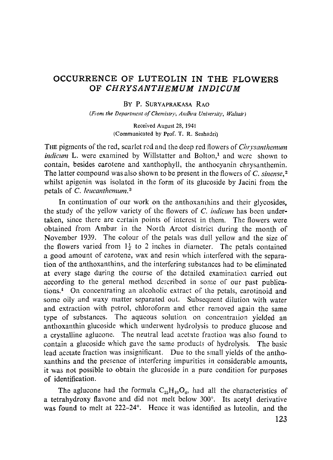# **OCCURRENCE OF LUTEOLIN IN THE FLOWERS OF** *CHRYSANTHEMUM INDICUM*

## **BY P. SURYAPRAKASA** RAO

*(From the Department of Chemistry, Andhra University, Waltair)* 

Received August 28, 1941 (Communicated by Prof. T. R. Seshadri)

THE pigments of the red, scarlet red and the deep red flowers of *Chrysanthemum indicum* L. were examined by Willstatter and Bolton,<sup>1</sup> and were shown to contain, besides carotene and xanthophyll, the anthocyanin chrysanthemin. The latter compound was also shown to be present in the flowers of *C. sinense*,<sup>2</sup> whilst apigenin was isolated in the form of its glucoside by Jacini from the petals of *C. leucanthemum. 3* 

In continuation of our work on the anthoxanthins and their glycosides, the study of the yellow variety of the flowers of *C. indicum* has been undertaken, since there are certain points of interest in them. The flowers were obtained from Ambur in the North Arcot district during the month of November 1939. The colour of the petals was dull yellow and the size of the flowers varied from  $1\frac{1}{2}$  to 2 inches in diameter. The petals contained a good amount of carotene, wax and resin whieh interfered with the separation of the anthoxanthins, and the interfering substances had to be eliminated at every stage dm'ing the course of the detailed examinatioa carried out according to the general method described in some of our past publications.<sup>4</sup> On concentrating an alcoholic extract of the petals, carotinoid and some oily and waxy matter separated out. Subsequent dilution with water and extraction with petrol, chloroform and ether removed again the same type of substances. The aqueous solution on concentration yielded an anthoxanthin glucoside which underwent hydrolysis to produce glucose and a crystalline aglucone. The neutral lead acetate fraction was also found to contain a glucoside which gave the same products of hydrolysis. The basic lead acetate fraction was insignificant. Due to the small yields of the anthoxanthins and the presence of interfering impurities in considerable amounts, it was not possible to obtain the glucoside in a pure condition for purposes **of** identification.

The aglucone had the formula  $C_{15}H_{10}O_6$ , had all the characteristics of a tetrahydroxy flavone and did not melt below 300°. Its acetyl derivative was found to melt at  $222-24^\circ$ . Hence it was identified as luteolin, and the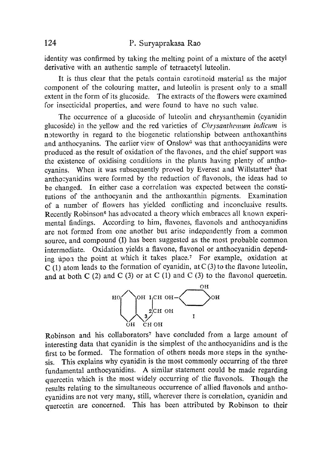identity was confirmed by taking the melting point of a mixture of the acetyl derivative with an authentic sample of tetraacetyl luteolin.

It is thus clear that the petals contain carotinoid material as the major component of the colouring matter, and luteolin is present only to a small extent in the form of its glucoside. The extracts of the flowers were examined for insecticidal properties, and were found to have no such value.

The occurrence of a glucoside of luteolin and chrysanthemin (cyanidin glucoside) in the yellow and the red varieties of *Chrysanthemum indicum* is n<sub>2</sub>teworthy in regard to the biogenetic relationship between anthoxanthins and anthocyanins. The earlier view of Onslow<sup>5</sup> was that anthocyanidins were produced as the result of oxidation of the flavones, and the chief support was the existence of oxidising conditions in the plants having plenty of anthocyanins. When it was subsequently proved by Everest and Willstatter<sup>5</sup> that antho: vanidins were formed by the reduction of flavonols, the ideas had to be changed. In either case a correlation was expected between the constitutions of the anthocyanin and the anthoxanthin pigments. Examination of a number of flowers has yielded conflicting and inconclusive results. Recently Robinson<sup>6</sup> has advocated a theory which embraces all known experimental findings. According to him, flavones, flavonols and anthocyanidins are not formed from one another but arise independently from a common souree, and compound (I) has been suggested as the most probable common intermediate. Oxidation yields a fiavone, flavonol or anthocyanidin depending upon the point at which it takes place.<sup>7</sup> For example, oxidation at  $C(1)$  atom leads to the formation of cyanidin, at  $C(3)$  to the flavone luteolin, and at both C (2) and C (3) or at C (1) and C (3) to the flavonol quercetin.



Robinson and his collaborators<sup>7</sup> have concluded from a large amount of interesting data that cyanidin is the simplest of the anthocyanidins and is the first to be formed. The formation of others needs more steps in the synthesis. This explains why cyanidin is the most commonly occurring of the three fundamental anthocyanidins. A similar statement could be made regarding quercetin which is the most widely occurring of the flavonols. Though the results relating to the simultaneous occurrence of allied flavonols and anthocyanidins are not very many, still, wherever there is correlation, cyanidin and quercetin are concerned. This has been attributed by Robinson to their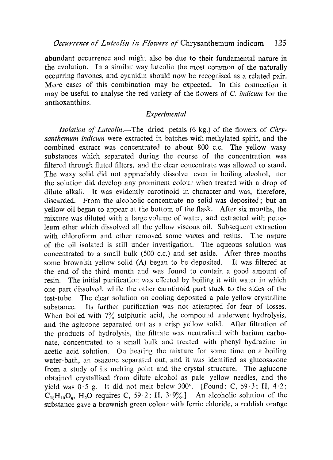abundant occurrence and might also be due to their fundamental nature in the evolution. In a similar way luteolin the most common of the naturally occurring flavones, and cyanidin should now be recognised as a related pair. More cases of this combination may be expected. In this connection it may be useful to analyse the red variety of the flowers of *C. indicum* for the anthoxanthins.

## *Experimental*

*Isolation of Luteolin.--The* dried petals *(6* kg.) of the flowers of *Chrysanthemum indicum* were extracted in batehes with methylated spirit, and the combined extract was concentrated to about 800 c.c. The yellow waxy substances which separated during the course of the concentration was filtered through fluted filters, and the clear concentrate was allowed to stand. The waxy solid did not appreciably dissolve even in boiling alcohol, nor the solution did develop any prominent colour when treated with a drop of dilute alkali. It was evidently carotinoid in character and was, therefore, discarded. From the alcoholic concentrate no solid was deposited; but an yellow oil began to appear at the bottom of the flask. After six months, the mixture was diluted with a large volume of water, and exttacted with petroleum ether which dissolved all the yellow viscous oil. Subsequent extraction with chloroform and ether removed some waxes and resins. The nature of the oil isolated is still under investigation. The aqueous solution was concentrated to a small bulk (500 c.c.) and set aside. After three months some brownish yellow solid (A) began to be deposited. It was filtered at the end of the third month and was found to contain a good amount of resin. The initial purification was effected by boiling it with water in which one part dissolved, while the other carotinoid part stuck to the sides of the test-tube. The clear solution on cooling deposited a pale yellow crystalline substance. Its further purification was not attempted for fear of losses. When boiled with  $7\%$  sulphuric acid, the compound underwent hydrolysis, and the aglucone separated out as a crisp yellow solid. After filtration of the products of hydrolysis, the filtrate was neutralised with barium carbonate, concentrated to a small bulk and treated with phenyl hydrazine in acetic acid solution. On heating the mixture for some time on a boiling water-bath, ah osazone separated out, and it was identified as glucosazone from a study of its melting point and the crystal structure. The aglucone obtained crystallised from dilute alcohol as pale yellow needles, and the yield was  $0.5$  g. It did not melt below  $300^\circ$ . [Found: C,  $59.3$ ; H,  $4.2$ ;  $C_{15}H_{10}O_6$ , H<sub>2</sub>O requires C, 59.2; H, 3.9%.] An alcoholic solution of the substance gave a brownish green colour with ferric chloride, a reddish orange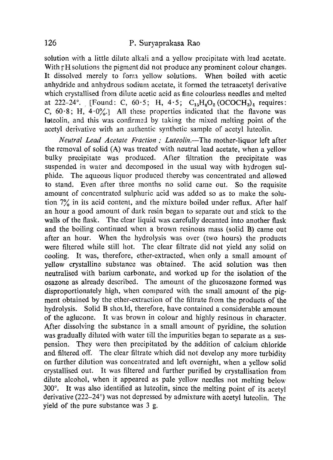# 126 P. Suryaprakasa Rao

solution with a little dilute alkali and a yellow precipitate with lead acetate. With rH solutions the pigment did not produce any prominent colour changes. It dissolved merely to forra yellow solutions. When boiled with acetic anhydride and anhydrous sodium acetate, it formed the tetraacetyl derivative which crystallised from dilute acetic acid as fine colourless needles and melted at 222-24°. [Found: C,  $60.5$ ; H,  $4.5$ ; C<sub>15</sub>H<sub>6</sub>O<sub>2</sub> (OCOCH<sub>3</sub>)<sub>4</sub> requires: C,  $60.8$ ; H,  $4.0\%$ .] All these properties indicated that the flavone was luteolin, and this was confirmed by taking the mixed melting point of the acetyl derivative with an authentic synthetic sample of acetyl luteolin.

*Neutral Lead Acetate Fraction : Luteolh~.--The* mother-liquor left after the removal of solid (A) was treated with neutral lead acetate, when a yellow bulky precipitate was produced. After filtration the precipitate was suspended in water and decomposed in the usual way with hydrogen sulphide. The aqueous liquor produced thercby was concentrated and allowed to stand. Even after three months no solid carne out. So the requisite amount of concentrated sulphuric acid was added so as to make the solution  $7\%$  in its acid content, and the mixture boiled under reflux. After half an hour a good amount of dark resin began to separate out and stick to the walls of the flask. The clear liquid was carefully decanted into another flask and the boiling continued when a brown resinous mass (solid B) came out after an hour. When the hydrolysis was over (two hours) the products were filtered while still hot. The clear filtrate did not yield any solid on cooling. It was, therefore, ether-extracted, when only a small amount of yellow crystalline substance was obtained. The acid solution was then neutralised with barium carbonate, and worked up for the isolation of the osazone as already described. The amount of the glucosazone formed was disproportionately high, when compared with the small amount of the pigment obtained by the ether-extraction of the filtrate from the products of the hydrolysis. Solid B showld, therefore, have contained a considerable amount of the aglucone. It was brown in colour and highly resinous in character. After dissolving the substance in a small amount of pyridine, the solution was gradually diluted with water till the impurities began to separate as a suspension. They were then precipitated by the addition of calcium chloride and filtered off. The clear filtrate which did not develop any more turbidity on further dilution was concentrated and left overnight, when a yellow solid crystallised out. It was filtered and further purified by crystallisation from dilute alcohol, when it appeared as pale yellow needles not melting below  $300^\circ$ . It was also identified as luteolin, since the melting point of its acetyl derivative (222-24°) was not depressed by admixture with acetyl luteolin. The yield of the pure substanee was 3 g.